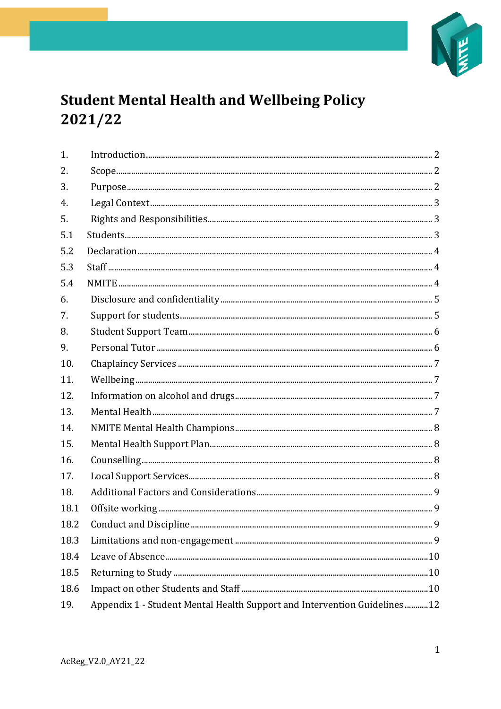

# **Student Mental Health and Wellbeing Policy** 2021/22

| 1.   |                                                                          |
|------|--------------------------------------------------------------------------|
| 2.   |                                                                          |
| 3.   |                                                                          |
| 4.   |                                                                          |
| 5.   |                                                                          |
| 5.1  |                                                                          |
| 5.2  |                                                                          |
| 5.3  |                                                                          |
| 5.4  |                                                                          |
| 6.   |                                                                          |
| 7.   |                                                                          |
| 8.   |                                                                          |
| 9.   |                                                                          |
| 10.  |                                                                          |
| 11.  |                                                                          |
| 12.  |                                                                          |
| 13.  |                                                                          |
| 14.  |                                                                          |
| 15.  |                                                                          |
| 16.  |                                                                          |
| 17.  |                                                                          |
| 18.  |                                                                          |
| 18.1 |                                                                          |
| 18.2 |                                                                          |
| 18.3 |                                                                          |
| 18.4 |                                                                          |
| 18.5 |                                                                          |
| 18.6 |                                                                          |
| 19.  | Appendix 1 - Student Mental Health Support and Intervention Guidelines12 |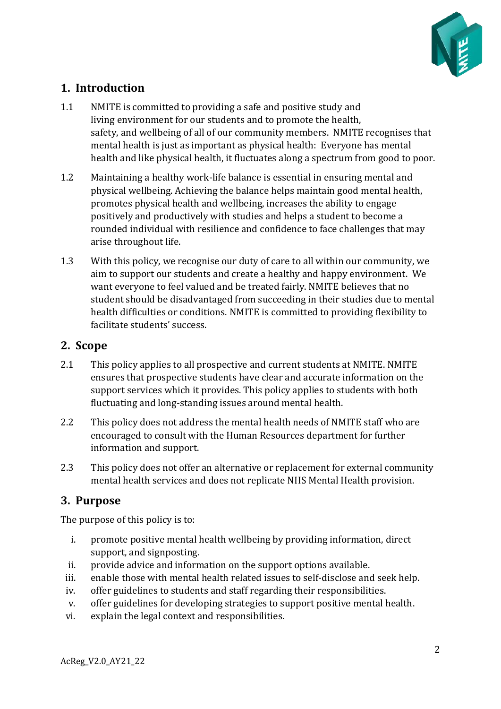

# <span id="page-1-0"></span>**1. Introduction**

- 1.1 NMITE is committed to providing a safe and positive study and living environment for our students and to promote the health, safety, and wellbeing of all of our community members. NMITE recognises that mental health is just as important as physical health: Everyone has mental health and like physical health, it fluctuates along a spectrum from good to poor.
- 1.2 Maintaining a healthy work-life balance is essential in ensuring mental and physical wellbeing. Achieving the balance helps maintain good mental health, promotes physical health and wellbeing, increases the ability to engage positively and productively with studies and helps a student to become a rounded individual with resilience and confidence to face challenges that may arise throughout life.
- 1.3 With this policy, we recognise our duty of care to all within our community, we aim to support our students and create a healthy and happy environment. We want everyone to feel valued and be treated fairly. NMITE believes that no student should be disadvantaged from succeeding in their studies due to mental health difficulties or conditions. NMITE is committed to providing flexibility to facilitate students' success.

### <span id="page-1-1"></span>**2. Scope**

- 2.1 This policy applies to all prospective and current students at NMITE. NMITE ensures that prospective students have clear and accurate information on the support services which it provides. This policy applies to students with both fluctuating and long-standing issues around mental health.
- 2.2 This policy does not address the mental health needs of NMITE staff who are encouraged to consult with the Human Resources department for further information and support.
- 2.3 This policy does not offer an alternative or replacement for external community mental health services and does not replicate NHS Mental Health provision.

# <span id="page-1-2"></span>**3. Purpose**

The purpose of this policy is to:

- i. promote positive mental health wellbeing by providing information, direct support, and signposting.
- ii. provide advice and information on the support options available.
- iii. enable those with mental health related issues to self-disclose and seek help.
- iv. offer guidelines to students and staff regarding their responsibilities.
- v. offer guidelines for developing strategies to support positive mental health.
- vi. explain the legal context and responsibilities.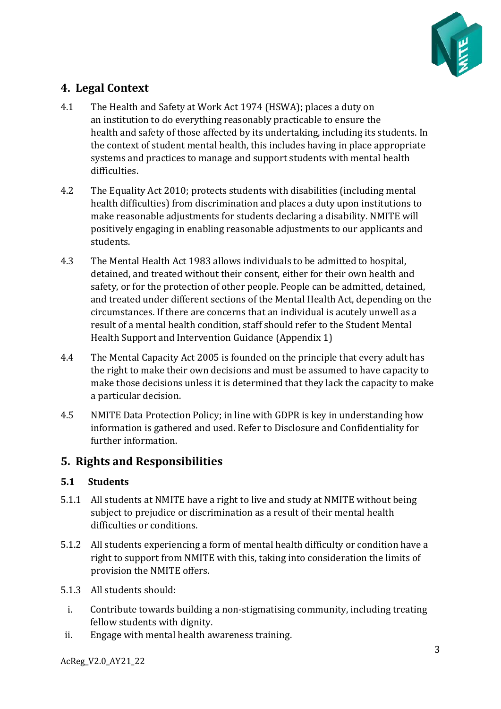

# <span id="page-2-0"></span>**4. Legal Context**

- 4.1 The Health and Safety at Work Act 1974 (HSWA); places a duty on an institution to do everything reasonably practicable to ensure the health and safety of those affected by its undertaking, including its students. In the context of student mental health, this includes having in place appropriate systems and practices to manage and support students with mental health difficulties.
- 4.2 The Equality Act 2010; protects students with disabilities (including mental health difficulties) from discrimination and places a duty upon institutions to make reasonable adjustments for students declaring a disability. NMITE will positively engaging in enabling reasonable adjustments to our applicants and students.
- 4.3 The Mental Health Act 1983 allows individuals to be admitted to hospital, detained, and treated without their consent, either for their own health and safety, or for the protection of other people. People can be admitted, detained, and treated under different sections of the Mental Health Act, depending on the circumstances. If there are concerns that an individual is acutely unwell as a result of a mental health condition, staff should refer to the Student Mental Health Support and Intervention Guidance (Appendix 1)
- 4.4 The Mental Capacity Act 2005 is founded on the principle that every adult has the right to make their own decisions and must be assumed to have capacity to make those decisions unless it is determined that they lack the capacity to make a particular decision.
- 4.5 NMITE Data Protection Policy; in line with GDPR is key in understanding how information is gathered and used. Refer to Disclosure and Confidentiality for further information.

# <span id="page-2-1"></span>**5. Rights and Responsibilities**

### <span id="page-2-2"></span>**5.1 Students**

- 5.1.1 All students at NMITE have a right to live and study at NMITE without being subject to prejudice or discrimination as a result of their mental health difficulties or conditions.
- 5.1.2 All students experiencing a form of mental health difficulty or condition have a right to support from NMITE with this, taking into consideration the limits of provision the NMITE offers.
- 5.1.3 All students should:
	- i. Contribute towards building a non-stigmatising community, including treating fellow students with dignity.
- ii. Engage with mental health awareness training.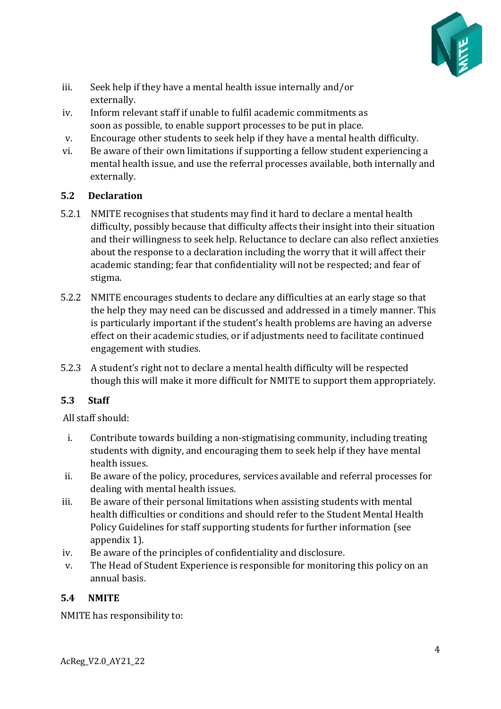

- iii. Seek help if they have a mental health issue internally and/or externally.
- iv. Inform relevant staff if unable to fulfil academic commitments as soon as possible, to enable support processes to be put in place.
- v. Encourage other students to seek help if they have a mental health difficulty.
- vi. Be aware of their own limitations if supporting a fellow student experiencing a mental health issue, and use the referral processes available, both internally and externally.

### <span id="page-3-0"></span>**5.2 Declaration**

- 5.2.1 NMITE recognises that students may find it hard to declare a mental health difficulty, possibly because that difficulty affects their insight into their situation and their willingness to seek help. Reluctance to declare can also reflect anxieties about the response to a declaration including the worry that it will affect their academic standing; fear that confidentiality will not be respected; and fear of stigma.
- 5.2.2 NMITE encourages students to declare any difficulties at an early stage so that the help they may need can be discussed and addressed in a timely manner. This is particularly important if the student's health problems are having an adverse effect on their academic studies, or if adjustments need to facilitate continued engagement with studies.
- 5.2.3 A student's right not to declare a mental health difficulty will be respected though this will make it more difficult for NMITE to support them appropriately.

### <span id="page-3-1"></span>**5.3 Staff**

All staff should:

- i. Contribute towards building a non-stigmatising community, including treating students with dignity, and encouraging them to seek help if they have mental health issues.
- ii. Be aware of the policy, procedures, services available and referral processes for dealing with mental health issues.
- iii. Be aware of their personal limitations when assisting students with mental health difficulties or conditions and should refer to the Student Mental Health Policy Guidelines for staff supporting students for further information (see appendix 1).
- iv. Be aware of the principles of confidentiality and disclosure.
- v. The Head of Student Experience is responsible for monitoring this policy on an annual basis.

### <span id="page-3-2"></span>**5.4 NMITE**

NMITE has responsibility to: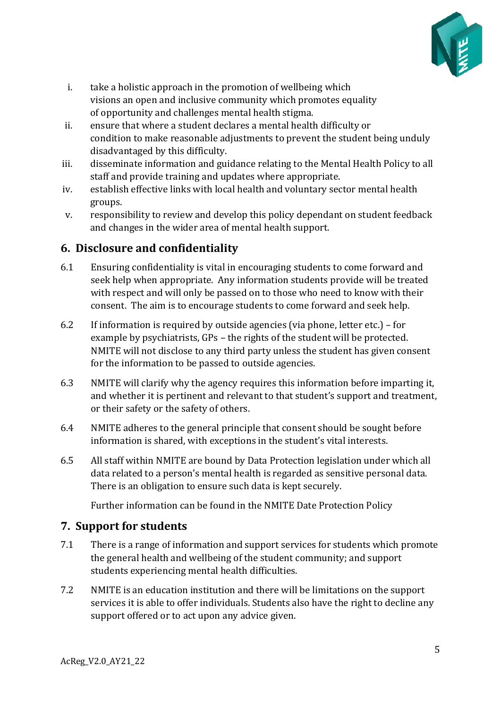

- i. take a holistic approach in the promotion of wellbeing which visions an open and inclusive community which promotes equality of opportunity and challenges mental health stigma.
- ii. ensure that where a student declares a mental health difficulty or condition to make reasonable adjustments to prevent the student being unduly disadvantaged by this difficulty.
- iii. disseminate information and guidance relating to the Mental Health Policy to all staff and provide training and updates where appropriate.
- iv. establish effective links with local health and voluntary sector mental health groups.
- v. responsibility to review and develop this policy dependant on student feedback and changes in the wider area of mental health support.

# <span id="page-4-0"></span>**6. Disclosure and confidentiality**

- 6.1 Ensuring confidentiality is vital in encouraging students to come forward and seek help when appropriate. Any information students provide will be treated with respect and will only be passed on to those who need to know with their consent. The aim is to encourage students to come forward and seek help.
- 6.2 If information is required by outside agencies (via phone, letter etc.) for example by psychiatrists, GPs – the rights of the student will be protected. NMITE will not disclose to any third party unless the student has given consent for the information to be passed to outside agencies.
- 6.3 NMITE will clarify why the agency requires this information before imparting it, and whether it is pertinent and relevant to that student's support and treatment, or their safety or the safety of others.
- 6.4 NMITE adheres to the general principle that consent should be sought before information is shared, with exceptions in the student's vital interests.
- 6.5 All staff within NMITE are bound by Data Protection legislation under which all data related to a person's mental health is regarded as sensitive personal data. There is an obligation to ensure such data is kept securely.

Further information can be found in the NMITE Date Protection Policy

# <span id="page-4-1"></span>**7. Support for students**

- 7.1 There is a range of information and support services for students which promote the general health and wellbeing of the student community; and support students experiencing mental health difficulties.
- 7.2 NMITE is an education institution and there will be limitations on the support services it is able to offer individuals. Students also have the right to decline any support offered or to act upon any advice given.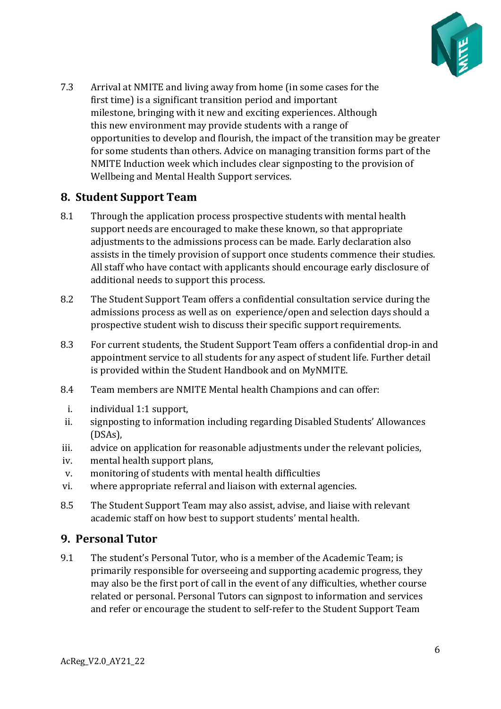

7.3 Arrival at NMITE and living away from home (in some cases for the first time) is a significant transition period and important milestone, bringing with it new and exciting experiences. Although this new environment may provide students with a range of opportunities to develop and flourish, the impact of the transition may be greater for some students than others. Advice on managing transition forms part of the NMITE Induction week which includes clear signposting to the provision of Wellbeing and Mental Health Support services.

### <span id="page-5-0"></span>**8. Student Support Team**

- 8.1 Through the application process prospective students with mental health support needs are encouraged to make these known, so that appropriate adjustments to the admissions process can be made. Early declaration also assists in the timely provision of support once students commence their studies. All staff who have contact with applicants should encourage early disclosure of additional needs to support this process.
- 8.2 The Student Support Team offers a confidential consultation service during the admissions process as well as on experience/open and selection days should a prospective student wish to discuss their specific support requirements.
- 8.3 For current students, the Student Support Team offers a confidential drop-in and appointment service to all students for any aspect of student life. Further detail is provided within the Student Handbook and on MyNMITE.
- 8.4 Team members are NMITE Mental health Champions and can offer:
- i. individual 1:1 support,
- ii. signposting to information including regarding Disabled Students' Allowances (DSAs),
- iii. advice on application for reasonable adjustments under the relevant policies,
- iv. mental health support plans,
- v. monitoring of students with mental health difficulties
- vi. where appropriate referral and liaison with external agencies.
- 8.5 The Student Support Team may also assist, advise, and liaise with relevant academic staff on how best to support students' mental health.

### <span id="page-5-1"></span>**9. Personal Tutor**

9.1 The student's Personal Tutor, who is a member of the Academic Team; is primarily responsible for overseeing and supporting academic progress, they may also be the first port of call in the event of any difficulties, whether course related or personal. Personal Tutors can signpost to information and services and refer or encourage the student to self-refer to the Student Support Team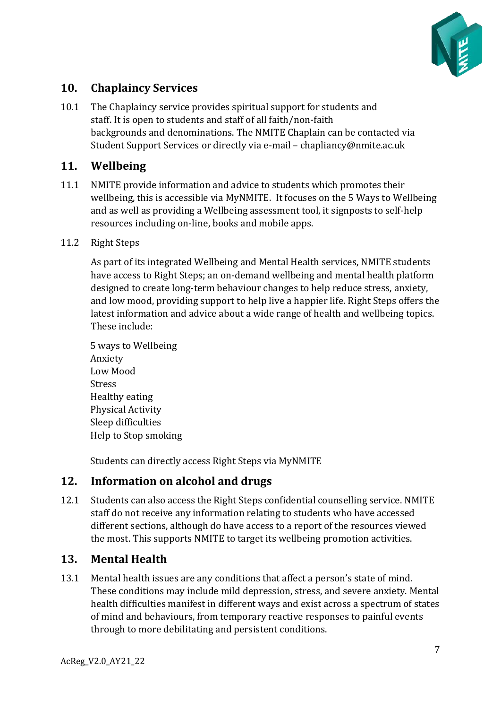

# <span id="page-6-0"></span>**10. Chaplaincy Services**

10.1 The Chaplaincy service provides spiritual support for students and staff. It is open to students and staff of all faith/non-faith backgrounds and denominations. The NMITE Chaplain can be contacted via Student Support Services or directly via e-mail – chapliancy@nmite.ac.uk

### <span id="page-6-1"></span>**11. Wellbeing**

11.1 NMITE provide information and advice to students which promotes their wellbeing, this is accessible via MyNMITE. It focuses on the 5 Ways to Wellbeing and as well as providing a Wellbeing assessment tool, it signposts to self-help resources including on-line, books and mobile apps.

#### 11.2 Right Steps

As part of its integrated Wellbeing and Mental Health services, NMITE students have access to Right Steps; an on-demand wellbeing and mental health platform designed to create long-term behaviour changes to help reduce stress, anxiety, and low mood, providing support to help live a happier life. Right Steps offers the latest information and advice about a wide range of health and wellbeing topics. These include:

5 ways to Wellbeing Anxiety Low Mood Stress Healthy eating Physical Activity Sleep difficulties Help to Stop smoking

Students can directly access Right Steps via MyNMITE

### <span id="page-6-2"></span>**12. Information on alcohol and drugs**

12.1 Students can also access the Right Steps confidential counselling service. NMITE staff do not receive any information relating to students who have accessed different sections, although do have access to a report of the resources viewed the most. This supports NMITE to target its wellbeing promotion activities.

### <span id="page-6-3"></span>**13. Mental Health**

13.1 Mental health issues are any conditions that affect a person's state of mind. These conditions may include mild depression, stress, and severe anxiety. Mental health difficulties manifest in different ways and exist across a spectrum of states of mind and behaviours, from temporary reactive responses to painful events through to more debilitating and persistent conditions.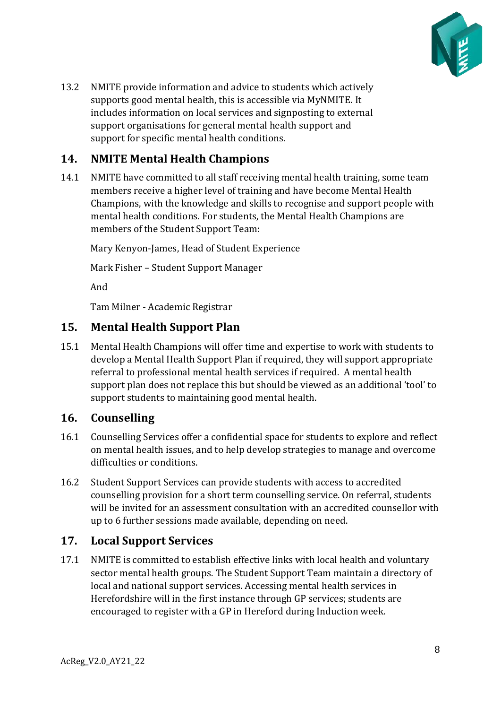

13.2 NMITE provide information and advice to students which actively supports good mental health, this is accessible via MyNMITE. It includes information on local services and signposting to external support organisations for general mental health support and support for specific mental health conditions.

# <span id="page-7-0"></span>**14. NMITE Mental Health Champions**

14.1 NMITE have committed to all staff receiving mental health training, some team members receive a higher level of training and have become Mental Health Champions, with the knowledge and skills to recognise and support people with mental health conditions. For students, the Mental Health Champions are members of the Student Support Team:

Mary Kenyon-James, Head of Student Experience

Mark Fisher – Student Support Manager

And

Tam Milner - Academic Registrar

### <span id="page-7-1"></span>**15. Mental Health Support Plan**

15.1 Mental Health Champions will offer time and expertise to work with students to develop a Mental Health Support Plan if required, they will support appropriate referral to professional mental health services if required. A mental health support plan does not replace this but should be viewed as an additional 'tool' to support students to maintaining good mental health.

### <span id="page-7-2"></span>**16. Counselling**

- 16.1 Counselling Services offer a confidential space for students to explore and reflect on mental health issues, and to help develop strategies to manage and overcome difficulties or conditions.
- 16.2 Student Support Services can provide students with access to accredited counselling provision for a short term counselling service. On referral, students will be invited for an assessment consultation with an accredited counsellor with up to 6 further sessions made available, depending on need.

### <span id="page-7-3"></span>**17. Local Support Services**

17.1 NMITE is committed to establish effective links with local health and voluntary sector mental health groups. The Student Support Team maintain a directory of local and national support services. Accessing mental health services in Herefordshire will in the first instance through GP services; students are encouraged to register with a GP in Hereford during Induction week.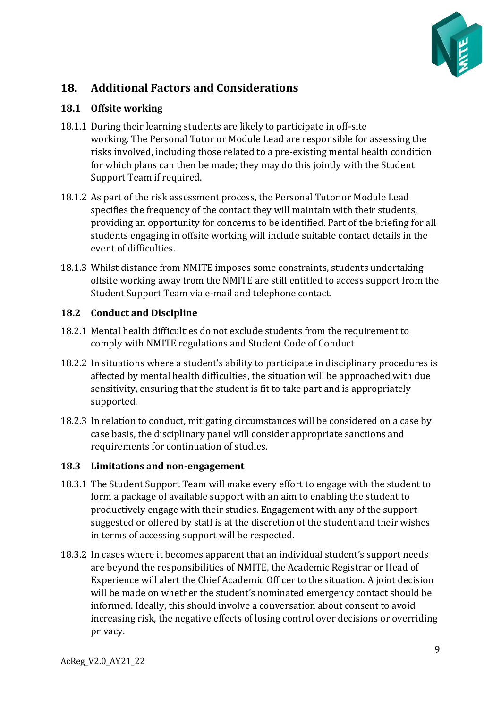

# <span id="page-8-0"></span>**18. Additional Factors and Considerations**

#### <span id="page-8-1"></span>**18.1 Offsite working**

- 18.1.1 During their learning students are likely to participate in off-site working. The Personal Tutor or Module Lead are responsible for assessing the risks involved, including those related to a pre-existing mental health condition for which plans can then be made; they may do this jointly with the Student Support Team if required.
- 18.1.2 As part of the risk assessment process, the Personal Tutor or Module Lead specifies the frequency of the contact they will maintain with their students, providing an opportunity for concerns to be identified. Part of the briefing for all students engaging in offsite working will include suitable contact details in the event of difficulties.
- 18.1.3 Whilst distance from NMITE imposes some constraints, students undertaking offsite working away from the NMITE are still entitled to access support from the Student Support Team via e-mail and telephone contact.

### <span id="page-8-2"></span>**18.2 Conduct and Discipline**

- 18.2.1 Mental health difficulties do not exclude students from the requirement to comply with NMITE regulations and Student Code of Conduct
- 18.2.2 In situations where a student's ability to participate in disciplinary procedures is affected by mental health difficulties, the situation will be approached with due sensitivity, ensuring that the student is fit to take part and is appropriately supported.
- 18.2.3 In relation to conduct, mitigating circumstances will be considered on a case by case basis, the disciplinary panel will consider appropriate sanctions and requirements for continuation of studies.

### <span id="page-8-3"></span>**18.3 Limitations and non-engagement**

- 18.3.1 The Student Support Team will make every effort to engage with the student to form a package of available support with an aim to enabling the student to productively engage with their studies. Engagement with any of the support suggested or offered by staff is at the discretion of the student and their wishes in terms of accessing support will be respected.
- 18.3.2 In cases where it becomes apparent that an individual student's support needs are beyond the responsibilities of NMITE, the Academic Registrar or Head of Experience will alert the Chief Academic Officer to the situation. A joint decision will be made on whether the student's nominated emergency contact should be informed. Ideally, this should involve a conversation about consent to avoid increasing risk, the negative effects of losing control over decisions or overriding privacy.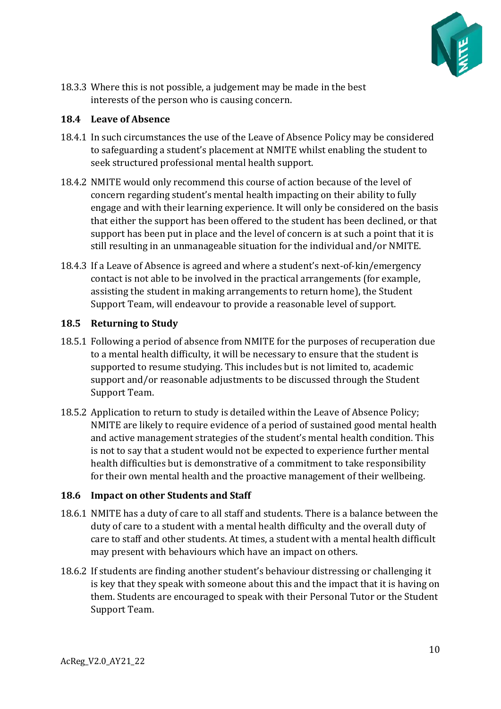

18.3.3 Where this is not possible, a judgement may be made in the best interests of the person who is causing concern.

#### <span id="page-9-0"></span>**18.4 Leave of Absence**

- 18.4.1 In such circumstances the use of the Leave of Absence Policy may be considered to safeguarding a student's placement at NMITE whilst enabling the student to seek structured professional mental health support.
- 18.4.2 NMITE would only recommend this course of action because of the level of concern regarding student's mental health impacting on their ability to fully engage and with their learning experience. It will only be considered on the basis that either the support has been offered to the student has been declined, or that support has been put in place and the level of concern is at such a point that it is still resulting in an unmanageable situation for the individual and/or NMITE.
- 18.4.3 If a Leave of Absence is agreed and where a student's next-of-kin/emergency contact is not able to be involved in the practical arrangements (for example, assisting the student in making arrangements to return home), the Student Support Team, will endeavour to provide a reasonable level of support.

#### <span id="page-9-1"></span>**18.5 Returning to Study**

- 18.5.1 Following a period of absence from NMITE for the purposes of recuperation due to a mental health difficulty, it will be necessary to ensure that the student is supported to resume studying. This includes but is not limited to, academic support and/or reasonable adjustments to be discussed through the Student Support Team.
- 18.5.2 Application to return to study is detailed within the Leave of Absence Policy; NMITE are likely to require evidence of a period of sustained good mental health and active management strategies of the student's mental health condition. This is not to say that a student would not be expected to experience further mental health difficulties but is demonstrative of a commitment to take responsibility for their own mental health and the proactive management of their wellbeing.

### <span id="page-9-2"></span>**18.6 Impact on other Students and Staff**

- 18.6.1 NMITE has a duty of care to all staff and students. There is a balance between the duty of care to a student with a mental health difficulty and the overall duty of care to staff and other students. At times, a student with a mental health difficult may present with behaviours which have an impact on others.
- 18.6.2 If students are finding another student's behaviour distressing or challenging it is key that they speak with someone about this and the impact that it is having on them. Students are encouraged to speak with their Personal Tutor or the Student Support Team.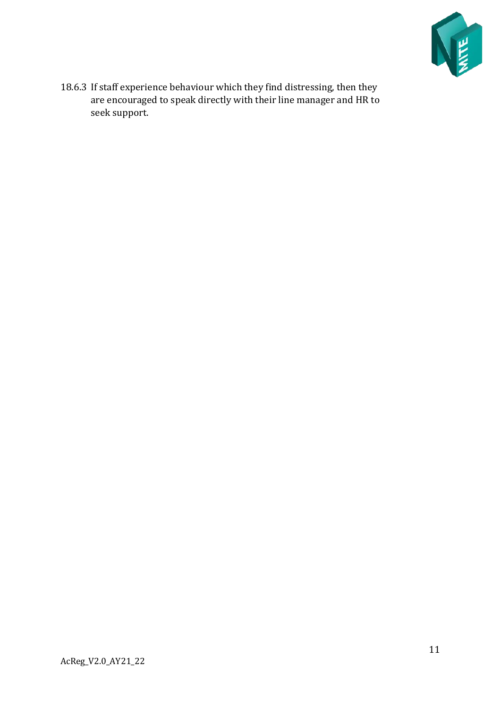

18.6.3 If staff experience behaviour which they find distressing, then they are encouraged to speak directly with their line manager and HR to seek support.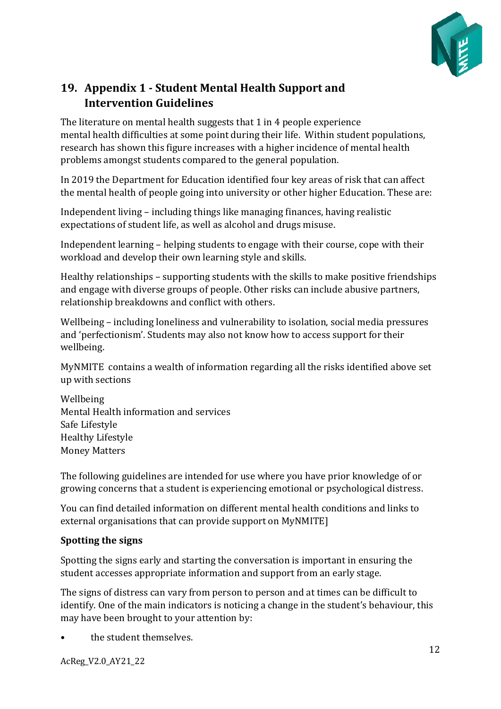

# <span id="page-11-0"></span>**19. Appendix 1 - Student Mental Health Support and Intervention Guidelines**

The literature on mental health suggests that 1 in 4 people experience mental health difficulties at some point during their life. Within student populations, research has shown this figure increases with a higher incidence of mental health problems amongst students compared to the general population.

In 2019 the Department for Education identified four key areas of risk that can affect the mental health of people going into university or other higher Education. These are:

Independent living – including things like managing finances, having realistic expectations of student life, as well as alcohol and drugs misuse.

Independent learning – helping students to engage with their course, cope with their workload and develop their own learning style and skills.

Healthy relationships – supporting students with the skills to make positive friendships and engage with diverse groups of people. Other risks can include abusive partners, relationship breakdowns and conflict with others.

Wellbeing – including loneliness and vulnerability to isolation, social media pressures and 'perfectionism'. Students may also not know how to access support for their wellbeing.

MyNMITE contains a wealth of information regarding all the risks identified above set up with sections

Wellbeing Mental Health information and services Safe Lifestyle Healthy Lifestyle Money Matters

The following guidelines are intended for use where you have prior knowledge of or growing concerns that a student is experiencing emotional or psychological distress.

You can find detailed information on different mental health conditions and links to external organisations that can provide support on MyNMITE]

### **Spotting the signs**

Spotting the signs early and starting the conversation is important in ensuring the student accesses appropriate information and support from an early stage.

The signs of distress can vary from person to person and at times can be difficult to identify. One of the main indicators is noticing a change in the student's behaviour, this may have been brought to your attention by:

the student themselves.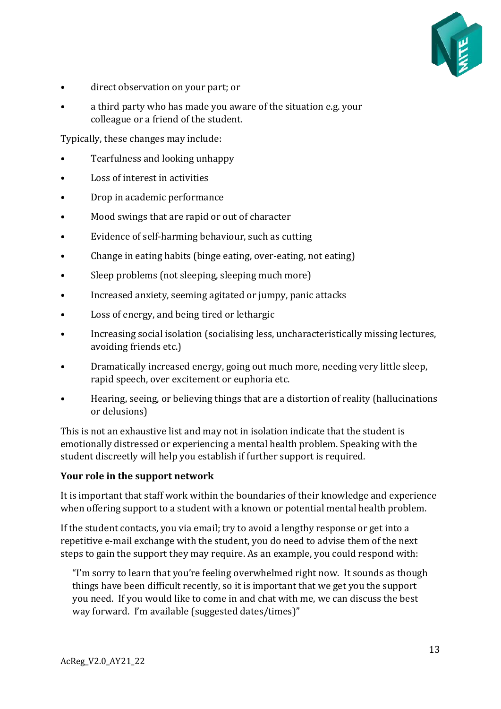

- direct observation on your part; or
- a third party who has made you aware of the situation e.g. your colleague or a friend of the student.

Typically, these changes may include:

- Tearfulness and looking unhappy
- Loss of interest in activities
- Drop in academic performance
- Mood swings that are rapid or out of character
- Evidence of self-harming behaviour, such as cutting
- Change in eating habits (binge eating, over-eating, not eating)
- Sleep problems (not sleeping, sleeping much more)
- Increased anxiety, seeming agitated or jumpy, panic attacks
- Loss of energy, and being tired or lethargic
- Increasing social isolation (socialising less, uncharacteristically missing lectures, avoiding friends etc.)
- Dramatically increased energy, going out much more, needing very little sleep, rapid speech, over excitement or euphoria etc.
- Hearing, seeing, or believing things that are a distortion of reality (hallucinations or delusions)

This is not an exhaustive list and may not in isolation indicate that the student is emotionally distressed or experiencing a mental health problem. Speaking with the student discreetly will help you establish if further support is required.

#### **Your role in the support network**

It is important that staff work within the boundaries of their knowledge and experience when offering support to a student with a known or potential mental health problem.

If the student contacts, you via email; try to avoid a lengthy response or get into a repetitive e-mail exchange with the student, you do need to advise them of the next steps to gain the support they may require. As an example, you could respond with:

"I'm sorry to learn that you're feeling overwhelmed right now. It sounds as though things have been difficult recently, so it is important that we get you the support you need. If you would like to come in and chat with me, we can discuss the best way forward. I'm available (suggested dates/times)"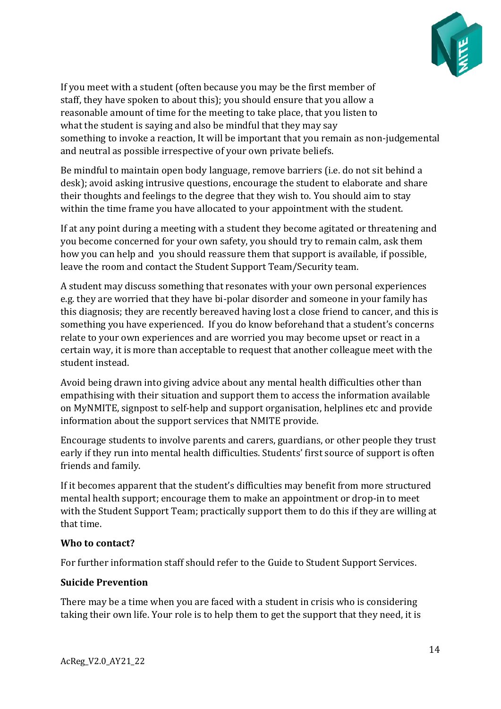

If you meet with a student (often because you may be the first member of staff, they have spoken to about this); you should ensure that you allow a reasonable amount of time for the meeting to take place, that you listen to what the student is saying and also be mindful that they may say something to invoke a reaction, It will be important that you remain as non-judgemental and neutral as possible irrespective of your own private beliefs.

Be mindful to maintain open body language, remove barriers (i.e. do not sit behind a desk); avoid asking intrusive questions, encourage the student to elaborate and share their thoughts and feelings to the degree that they wish to. You should aim to stay within the time frame you have allocated to your appointment with the student.

If at any point during a meeting with a student they become agitated or threatening and you become concerned for your own safety, you should try to remain calm, ask them how you can help and you should reassure them that support is available, if possible, leave the room and contact the Student Support Team/Security team.

A student may discuss something that resonates with your own personal experiences e.g. they are worried that they have bi-polar disorder and someone in your family has this diagnosis; they are recently bereaved having lost a close friend to cancer, and this is something you have experienced. If you do know beforehand that a student's concerns relate to your own experiences and are worried you may become upset or react in a certain way, it is more than acceptable to request that another colleague meet with the student instead.

Avoid being drawn into giving advice about any mental health difficulties other than empathising with their situation and support them to access the information available on MyNMITE, signpost to self-help and support organisation, helplines etc and provide information about the support services that NMITE provide.

Encourage students to involve parents and carers, guardians, or other people they trust early if they run into mental health difficulties. Students' first source of support is often friends and family.

If it becomes apparent that the student's difficulties may benefit from more structured mental health support; encourage them to make an appointment or drop-in to meet with the Student Support Team; practically support them to do this if they are willing at that time.

#### **Who to contact?**

For further information staff should refer to the Guide to Student Support Services.

### **Suicide Prevention**

There may be a time when you are faced with a student in crisis who is considering taking their own life. Your role is to help them to get the support that they need, it is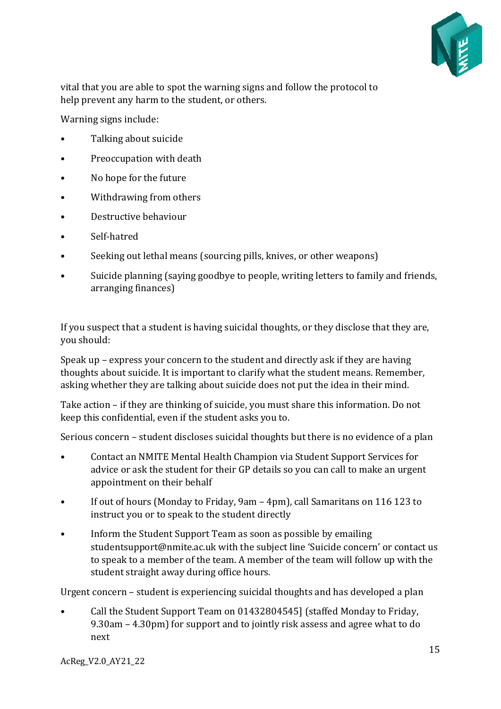

vital that you are able to spot the warning signs and follow the protocol to help prevent any harm to the student, or others.

Warning signs include:

- Talking about suicide
- Preoccupation with death
- No hope for the future
- Withdrawing from others
- Destructive behaviour
- Self-hatred
- Seeking out lethal means (sourcing pills, knives, or other weapons)
- Suicide planning (saying goodbye to people, writing letters to family and friends, arranging finances)

If you suspect that a student is having suicidal thoughts, or they disclose that they are, you should:

Speak up – express your concern to the student and directly ask if they are having thoughts about suicide. It is important to clarify what the student means. Remember, asking whether they are talking about suicide does not put the idea in their mind.

Take action – if they are thinking of suicide, you must share this information. Do not keep this confidential, even if the student asks you to.

Serious concern – student discloses suicidal thoughts but there is no evidence of a plan

- Contact an NMITE Mental Health Champion via Student Support Services for advice or ask the student for their GP details so you can call to make an urgent appointment on their behalf
- If out of hours (Monday to Friday, 9am 4pm), call Samaritans on 116 123 to instruct you or to speak to the student directly
- Inform the Student Support Team as soon as possible by emailing studentsupport@nmite.ac.uk with the subject line 'Suicide concern' or contact us to speak to a member of the team. A member of the team will follow up with the student straight away during office hours.

Urgent concern – student is experiencing suicidal thoughts and has developed a plan

• Call the Student Support Team on 01432804545] (staffed Monday to Friday, 9.30am – 4.30pm) for support and to jointly risk assess and agree what to do next